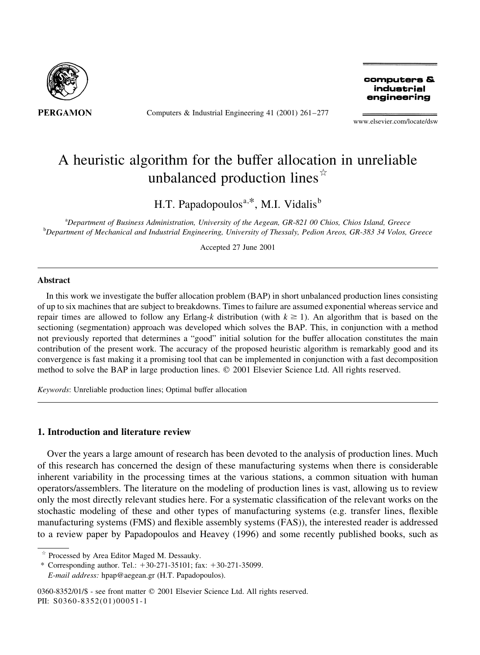

Computers & Industrial Engineering 41 (2001)  $261-277$ 

computers & industrial engineering

www.elsevier.com/locate/dsw

## A heuristic algorithm for the buffer allocation in unreliable unbalanced production lines $\vec{r}$

H.T. Papadopoulos<sup>a,\*</sup>, M.I. Vidalis<sup>b</sup>

<sup>a</sup>Department of Business Administration, University of the Aegean, GR-821 00 Chios, Chios Island, Greece <sup>b</sup>Department of Mechanical and Industrial Engineering, University of Thessaly, Pedion Areos, GR-383 34 Volos, Greece

Accepted 27 June 2001

## **Abstract**

In this work we investigate the buffer allocation problem (BAP) in short unbalanced production lines consisting of up to six machines that are subject to breakdowns. Times to failure are assumed exponential whereas service and repair times are allowed to follow any Erlang-k distribution (with  $k \ge 1$ ). An algorithm that is based on the sectioning (segmentation) approach was developed which solves the BAP. This, in conjunction with a method not previously reported that determines a "good" initial solution for the buffer allocation constitutes the main contribution of the present work. The accuracy of the proposed heuristic algorithm is remarkably good and its convergence is fast making it a promising tool that can be implemented in conjunction with a fast decomposition method to solve the BAP in large production lines. © 2001 Elsevier Science Ltd. All rights reserved.

Keywords: Unreliable production lines; Optimal buffer allocation

## 1. Introduction and literature review

Over the years a large amount of research has been devoted to the analysis of production lines. Much of this research has concerned the design of these manufacturing systems when there is considerable inherent variability in the processing times at the various stations, a common situation with human operators/assemblers. The literature on the modeling of production lines is vast, allowing us to review only the most directly relevant studies here. For a systematic classification of the relevant works on the stochastic modeling of these and other types of manufacturing systems (e.g. transfer lines, flexible manufacturing systems (FMS) and flexible assembly systems (FAS)), the interested reader is addressed to a review paper by Papadopoulos and Heavey (1996) and some recently published books, such as

0360-8352/01/\$ - see front matter © 2001 Elsevier Science Ltd. All rights reserved. PII: S0360-8352(01)00051-1

Processed by Area Editor Maged M. Dessauky.

<sup>\*</sup> Corresponding author. Tel.:  $+30-271-35101$ ; fax:  $+30-271-35099$ . E-mail address: hpap@aegean.gr (H.T. Papadopoulos).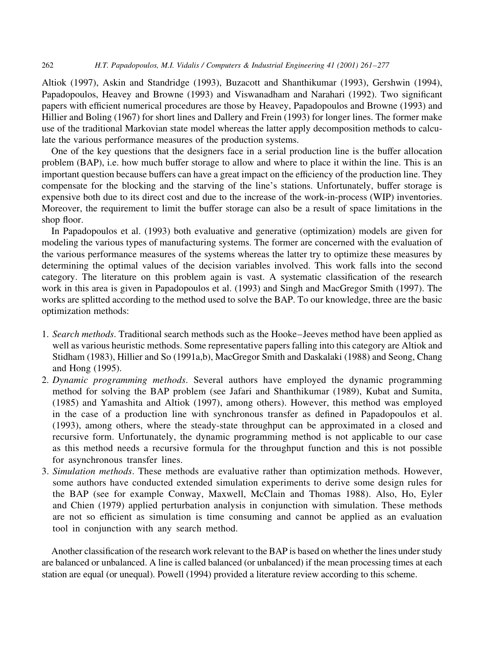262 H.T. Papadopoulos, M.I. Vidalis / Computers & Industrial Engineering 41 (2001) 261-277

Altiok (1997), Askin and Standridge (1993), Buzacott and Shanthikumar (1993), Gershwin (1994), Papadopoulos, Heavey and Browne (1993) and Viswanadham and Narahari (1992). Two significant papers with efficient numerical procedures are those by Heavey, Papadopoulos and Browne (1993) and Hillier and Boling (1967) for short lines and Dallery and Frein (1993) for longer lines. The former make use of the traditional Markovian state model whereas the latter apply decomposition methods to calculate the various performance measures of the production systems.

One of the key questions that the designers face in a serial production line is the buffer allocation problem (BAP), i.e. how much buffer storage to allow and where to place it within the line. This is an important question because buffers can have a great impact on the efficiency of the production line. They compensate for the blocking and the starving of the line's stations. Unfortunately, buffer storage is expensive both due to its direct cost and due to the increase of the work-in-process (WIP) inventories. Moreover, the requirement to limit the buffer storage can also be a result of space limitations in the shop floor.

In Papadopoulos et al. (1993) both evaluative and generative (optimization) models are given for modeling the various types of manufacturing systems. The former are concerned with the evaluation of the various performance measures of the systems whereas the latter try to optimize these measures by determining the optimal values of the decision variables involved. This work falls into the second category. The literature on this problem again is vast. A systematic classification of the research work in this area is given in Papadopoulos et al. (1993) and Singh and MacGregor Smith (1997). The works are splitted according to the method used to solve the BAP. To our knowledge, three are the basic optimization methods:

- 1. Search methods. Traditional search methods such as the Hooke–Jeeves method have been applied as well as various heuristic methods. Some representative papers falling into this category are Altiok and Stidham (1983), Hillier and So (1991a,b), MacGregor Smith and Daskalaki (1988) and Seong, Chang and Hong (1995).
- 2. Dynamic programming methods. Several authors have employed the dynamic programming method for solving the BAP problem (see Jafari and Shanthikumar (1989), Kubat and Sumita, (1985) and Yamashita and Altiok (1997), among others). However, this method was employed in the case of a production line with synchronous transfer as defined in Papadopoulos et al. (1993), among others, where the steady-state throughput can be approximated in a closed and recursive form. Unfortunately, the dynamic programming method is not applicable to our case as this method needs a recursive formula for the throughput function and this is not possible for asynchronous transfer lines.
- 3. Simulation methods. These methods are evaluative rather than optimization methods. However, some authors have conducted extended simulation experiments to derive some design rules for the BAP (see for example Conway, Maxwell, McClain and Thomas 1988). Also, Ho, Eyler and Chien (1979) applied perturbation analysis in conjunction with simulation. These methods are not so efficient as simulation is time consuming and cannot be applied as an evaluation tool in conjunction with any search method.

Another classification of the research work relevant to the BAP is based on whether the lines under study are balanced or unbalanced. A line is called balanced (or unbalanced) if the mean processing times at each station are equal (or unequal). Powell (1994) provided a literature review according to this scheme.